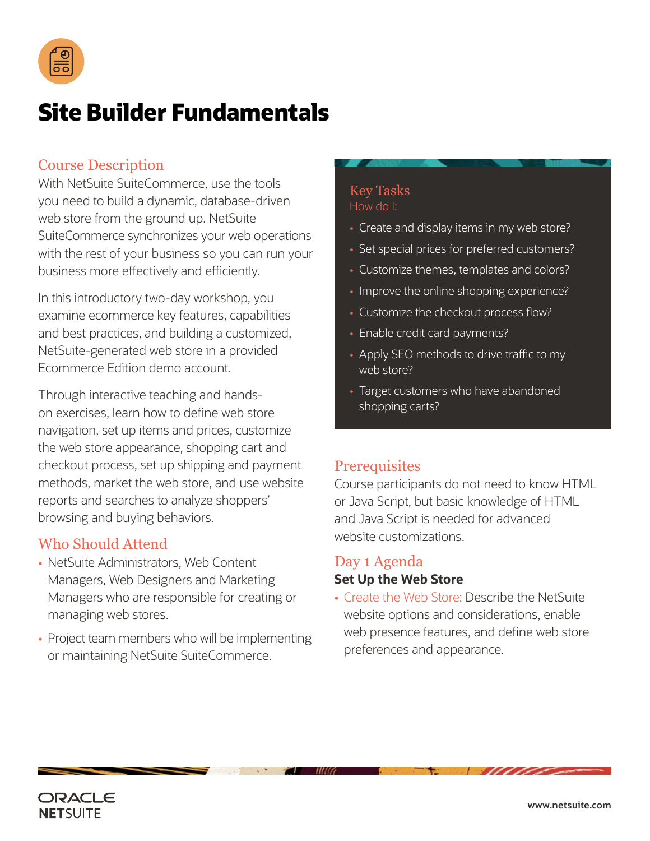

# **Site Builder Fundamentals**

## Course Description

With NetSuite SuiteCommerce, use the tools you need to build a dynamic, database-driven web store from the ground up. NetSuite SuiteCommerce synchronizes your web operations with the rest of your business so you can run your business more effectively and efficiently.

In this introductory two-day workshop, you examine ecommerce key features, capabilities and best practices, and building a customized, NetSuite-generated web store in a provided Ecommerce Edition demo account.

Through interactive teaching and handson exercises, learn how to define web store navigation, set up items and prices, customize the web store appearance, shopping cart and checkout process, set up shipping and payment methods, market the web store, and use website reports and searches to analyze shoppers' browsing and buying behaviors.

## Who Should Attend

- NetSuite Administrators, Web Content Managers, Web Designers and Marketing Managers who are responsible for creating or managing web stores.
- Project team members who will be implementing or maintaining NetSuite SuiteCommerce.

## Key Tasks How do I:

- Create and display items in my web store?
- Set special prices for preferred customers?
- Customize themes, templates and colors?
- Improve the online shopping experience?
- Customize the checkout process flow?
- Enable credit card payments?
- Apply SEO methods to drive traffic to my web store?
- Target customers who have abandoned shopping carts?

## **Prerequisites**

Course participants do not need to know HTML or Java Script, but basic knowledge of HTML and Java Script is needed for advanced website customizations.

## Day 1 Agenda **Set Up the Web Store**

• Create the Web Store: Describe the NetSuite website options and considerations, enable web presence features, and define web store preferences and appearance.